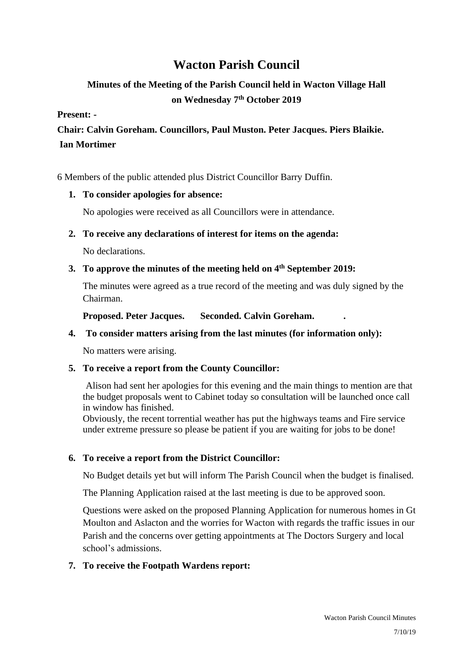# **Wacton Parish Council**

## **Minutes of the Meeting of the Parish Council held in Wacton Village Hall on Wednesday 7 th October 2019**

#### **Present: -**

**Chair: Calvin Goreham. Councillors, Paul Muston. Peter Jacques. Piers Blaikie. Ian Mortimer**

6 Members of the public attended plus District Councillor Barry Duffin.

## **1. To consider apologies for absence:**

No apologies were received as all Councillors were in attendance.

## **2. To receive any declarations of interest for items on the agenda:**

No declarations.

## **3. To approve the minutes of the meeting held on 4 th September 2019:**

The minutes were agreed as a true record of the meeting and was duly signed by the Chairman.

**Proposed. Peter Jacques. Seconded. Calvin Goreham. .**

## **4. To consider matters arising from the last minutes (for information only):**

No matters were arising.

## **5. To receive a report from the County Councillor:**

Alison had sent her apologies for this evening and the main things to mention are that the budget proposals went to Cabinet today so consultation will be launched once call in window has finished.

Obviously, the recent torrential weather has put the highways teams and Fire service under extreme pressure so please be patient if you are waiting for jobs to be done!

## **6. To receive a report from the District Councillor:**

No Budget details yet but will inform The Parish Council when the budget is finalised.

The Planning Application raised at the last meeting is due to be approved soon.

Questions were asked on the proposed Planning Application for numerous homes in Gt Moulton and Aslacton and the worries for Wacton with regards the traffic issues in our Parish and the concerns over getting appointments at The Doctors Surgery and local school's admissions.

## **7. To receive the Footpath Wardens report:**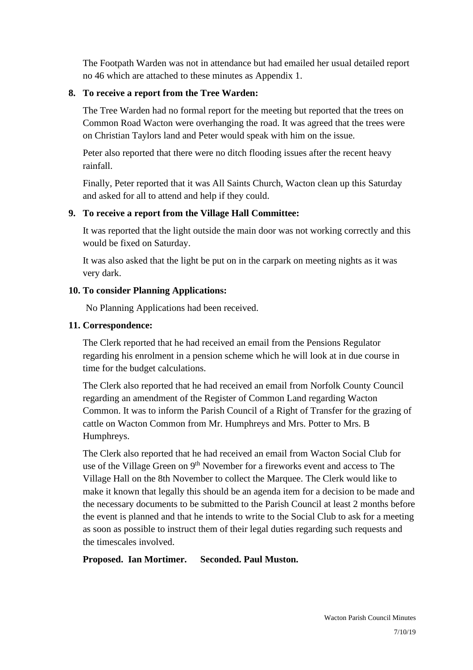The Footpath Warden was not in attendance but had emailed her usual detailed report no 46 which are attached to these minutes as Appendix 1.

#### **8. To receive a report from the Tree Warden:**

The Tree Warden had no formal report for the meeting but reported that the trees on Common Road Wacton were overhanging the road. It was agreed that the trees were on Christian Taylors land and Peter would speak with him on the issue.

Peter also reported that there were no ditch flooding issues after the recent heavy rainfall.

Finally, Peter reported that it was All Saints Church, Wacton clean up this Saturday and asked for all to attend and help if they could.

## **9. To receive a report from the Village Hall Committee:**

It was reported that the light outside the main door was not working correctly and this would be fixed on Saturday.

It was also asked that the light be put on in the carpark on meeting nights as it was very dark.

## **10. To consider Planning Applications:**

No Planning Applications had been received.

## **11. Correspondence:**

The Clerk reported that he had received an email from the Pensions Regulator regarding his enrolment in a pension scheme which he will look at in due course in time for the budget calculations.

The Clerk also reported that he had received an email from Norfolk County Council regarding an amendment of the Register of Common Land regarding Wacton Common. It was to inform the Parish Council of a Right of Transfer for the grazing of cattle on Wacton Common from Mr. Humphreys and Mrs. Potter to Mrs. B Humphreys.

The Clerk also reported that he had received an email from Wacton Social Club for use of the Village Green on 9<sup>th</sup> November for a fireworks event and access to The Village Hall on the 8th November to collect the Marquee. The Clerk would like to make it known that legally this should be an agenda item for a decision to be made and the necessary documents to be submitted to the Parish Council at least 2 months before the event is planned and that he intends to write to the Social Club to ask for a meeting as soon as possible to instruct them of their legal duties regarding such requests and the timescales involved.

#### **Proposed. Ian Mortimer. Seconded. Paul Muston.**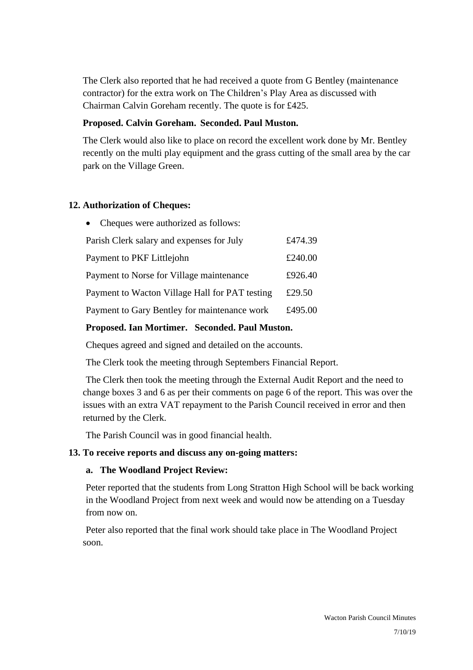The Clerk also reported that he had received a quote from G Bentley (maintenance contractor) for the extra work on The Children's Play Area as discussed with Chairman Calvin Goreham recently. The quote is for £425.

#### **Proposed. Calvin Goreham. Seconded. Paul Muston.**

The Clerk would also like to place on record the excellent work done by Mr. Bentley recently on the multi play equipment and the grass cutting of the small area by the car park on the Village Green.

## **12. Authorization of Cheques:**

| • Cheques were authorized as follows:          |         |
|------------------------------------------------|---------|
| Parish Clerk salary and expenses for July      | £474.39 |
| Payment to PKF Littlejohn                      | £240.00 |
| Payment to Norse for Village maintenance       | £926.40 |
| Payment to Wacton Village Hall for PAT testing | £29.50  |
| Payment to Gary Bentley for maintenance work   | £495.00 |

## **Proposed. Ian Mortimer. Seconded. Paul Muston.**

Cheques agreed and signed and detailed on the accounts.

The Clerk took the meeting through Septembers Financial Report.

The Clerk then took the meeting through the External Audit Report and the need to change boxes 3 and 6 as per their comments on page 6 of the report. This was over the issues with an extra VAT repayment to the Parish Council received in error and then returned by the Clerk.

The Parish Council was in good financial health.

#### **13. To receive reports and discuss any on-going matters:**

#### **a. The Woodland Project Review:**

Peter reported that the students from Long Stratton High School will be back working in the Woodland Project from next week and would now be attending on a Tuesday from now on.

Peter also reported that the final work should take place in The Woodland Project soon.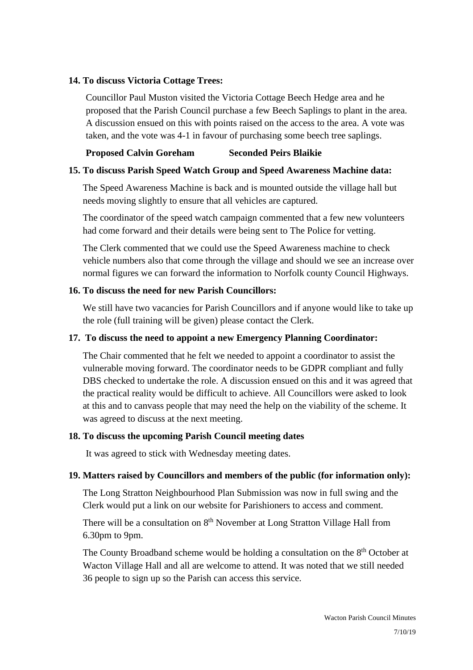#### **14. To discuss Victoria Cottage Trees:**

Councillor Paul Muston visited the Victoria Cottage Beech Hedge area and he proposed that the Parish Council purchase a few Beech Saplings to plant in the area. A discussion ensued on this with points raised on the access to the area. A vote was taken, and the vote was 4-1 in favour of purchasing some beech tree saplings.

#### **Proposed Calvin Goreham Seconded Peirs Blaikie**

#### **15. To discuss Parish Speed Watch Group and Speed Awareness Machine data:**

The Speed Awareness Machine is back and is mounted outside the village hall but needs moving slightly to ensure that all vehicles are captured.

The coordinator of the speed watch campaign commented that a few new volunteers had come forward and their details were being sent to The Police for vetting.

The Clerk commented that we could use the Speed Awareness machine to check vehicle numbers also that come through the village and should we see an increase over normal figures we can forward the information to Norfolk county Council Highways.

#### **16. To discuss the need for new Parish Councillors:**

We still have two vacancies for Parish Councillors and if anyone would like to take up the role (full training will be given) please contact the Clerk.

#### **17. To discuss the need to appoint a new Emergency Planning Coordinator:**

The Chair commented that he felt we needed to appoint a coordinator to assist the vulnerable moving forward. The coordinator needs to be GDPR compliant and fully DBS checked to undertake the role. A discussion ensued on this and it was agreed that the practical reality would be difficult to achieve. All Councillors were asked to look at this and to canvass people that may need the help on the viability of the scheme. It was agreed to discuss at the next meeting.

#### **18. To discuss the upcoming Parish Council meeting dates**

It was agreed to stick with Wednesday meeting dates.

#### **19. Matters raised by Councillors and members of the public (for information only):**

The Long Stratton Neighbourhood Plan Submission was now in full swing and the Clerk would put a link on our website for Parishioners to access and comment.

There will be a consultation on 8<sup>th</sup> November at Long Stratton Village Hall from 6.30pm to 9pm.

The County Broadband scheme would be holding a consultation on the 8<sup>th</sup> October at Wacton Village Hall and all are welcome to attend. It was noted that we still needed 36 people to sign up so the Parish can access this service.